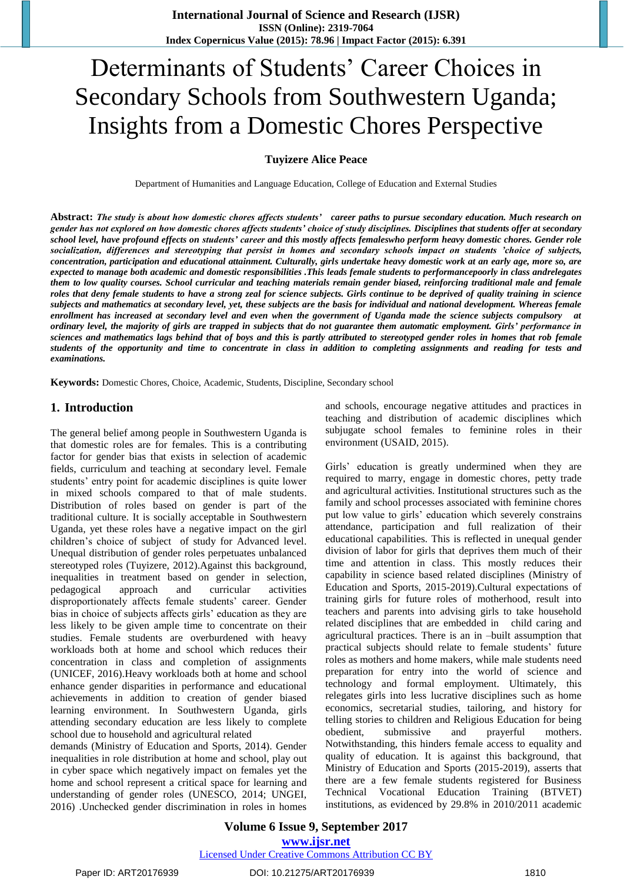# Determinants of Students' Career Choices in Secondary Schools from Southwestern Uganda; Insights from a Domestic Chores Perspective

## **Tuyizere Alice Peace**

Department of Humanities and Language Education, College of Education and External Studies

**Abstract:** *The study is about how domestic chores affects students' career paths to pursue secondary education. Much research on gender has not explored on how domestic chores affects students' choice of study disciplines. Disciplines that students offer at secondary school level, have profound effects on students' career and this mostly affects femaleswho perform heavy domestic chores. Gender role socialization, differences and stereotyping that persist in homes and secondary schools impact on students 'choice of subjects, concentration, participation and educational attainment. Culturally, girls undertake heavy domestic work at an early age, more so, are expected to manage both academic and domestic responsibilities .This leads female students to performancepoorly in class andrelegates them to low quality courses. School curricular and teaching materials remain gender biased, reinforcing traditional male and female roles that deny female students to have a strong zeal for science subjects. Girls continue to be deprived of quality training in science subjects and mathematics at secondary level, yet, these subjects are the basis for individual and national development. Whereas female enrollment has increased at secondary level and even when the government of Uganda made the science subjects compulsory at ordinary level, the majority of girls are trapped in subjects that do not guarantee them automatic employment. Girls' performance in sciences and mathematics lags behind that of boys and this is partly attributed to stereotyped gender roles in homes that rob female students of the opportunity and time to concentrate in class in addition to completing assignments and reading for tests and examinations.*

**Keywords:** Domestic Chores, Choice, Academic, Students, Discipline, Secondary school

## **1. Introduction**

The general belief among people in Southwestern Uganda is that domestic roles are for females. This is a contributing factor for gender bias that exists in selection of academic fields, curriculum and teaching at secondary level. Female students' entry point for academic disciplines is quite lower in mixed schools compared to that of male students. Distribution of roles based on gender is part of the traditional culture. It is socially acceptable in Southwestern Uganda, yet these roles have a negative impact on the girl children's choice of subject of study for Advanced level. Unequal distribution of gender roles perpetuates unbalanced stereotyped roles (Tuyizere, 2012).Against this background, inequalities in treatment based on gender in selection, pedagogical approach and curricular activities disproportionately affects female students' career. Gender bias in choice of subjects affects girls' education as they are less likely to be given ample time to concentrate on their studies. Female students are overburdened with heavy workloads both at home and school which reduces their concentration in class and completion of assignments (UNICEF, 2016).Heavy workloads both at home and school enhance gender disparities in performance and educational achievements in addition to creation of gender biased learning environment. In Southwestern Uganda, girls attending secondary education are less likely to complete school due to household and agricultural related

demands (Ministry of Education and Sports, 2014). Gender inequalities in role distribution at home and school, play out in cyber space which negatively impact on females yet the home and school represent a critical space for learning and understanding of gender roles (UNESCO, 2014; UNGEI, 2016) .Unchecked gender discrimination in roles in homes and schools, encourage negative attitudes and practices in teaching and distribution of academic disciplines which subjugate school females to feminine roles in their environment (USAID, 2015).

Girls' education is greatly undermined when they are required to marry, engage in domestic chores, petty trade and agricultural activities. Institutional structures such as the family and school processes associated with feminine chores put low value to girls' education which severely constrains attendance, participation and full realization of their educational capabilities. This is reflected in unequal gender division of labor for girls that deprives them much of their time and attention in class. This mostly reduces their capability in science based related disciplines (Ministry of Education and Sports, 2015-2019).Cultural expectations of training girls for future roles of motherhood, result into teachers and parents into advising girls to take household related disciplines that are embedded in child caring and agricultural practices. There is an in –built assumption that practical subjects should relate to female students' future roles as mothers and home makers, while male students need preparation for entry into the world of science and technology and formal employment. Ultimately, this relegates girls into less lucrative disciplines such as home economics, secretarial studies, tailoring, and history for telling stories to children and Religious Education for being obedient, submissive and prayerful mothers. Notwithstanding, this hinders female access to equality and quality of education. It is against this background, that Ministry of Education and Sports (2015-2019), asserts that there are a few female students registered for Business Technical Vocational Education Training (BTVET) institutions, as evidenced by 29.8% in 2010/2011 academic

**Volume 6 Issue 9, September 2017 <www.ijsr.net>** Licensed Under [Creative Commons Attribution CC BY](http://creativecommons.org/licenses/by/4.0/)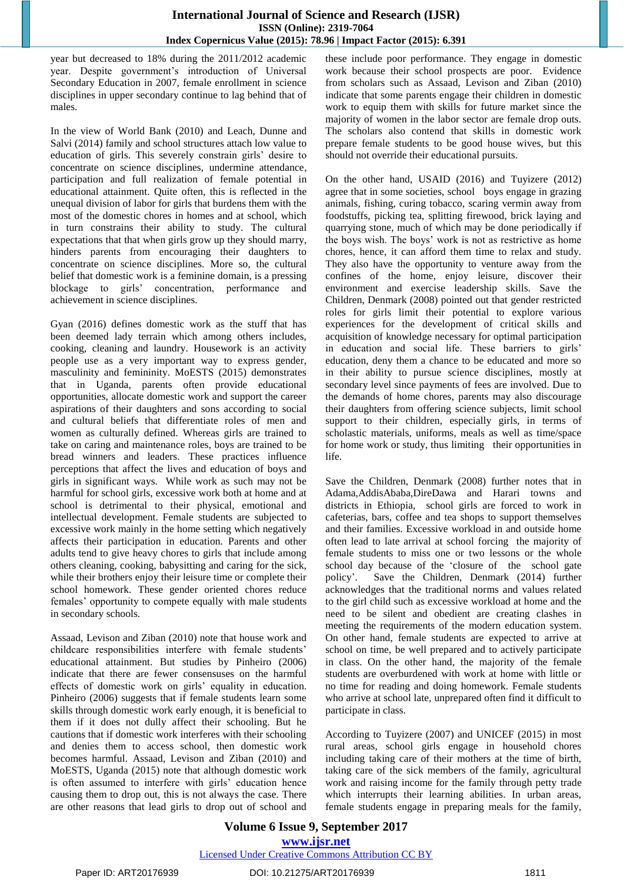# **International Journal of Science and Research (IJSR) ISSN (Online): 2319-7064 Index Copernicus Value (2015): 78.96 | Impact Factor (2015): 6.391**

year but decreased to 18% during the 2011/2012 academic year. Despite government's introduction of Universal Secondary Education in 2007, female enrollment in science disciplines in upper secondary continue to lag behind that of males.

In the view of World Bank (2010) and Leach, Dunne and Salvi (2014) family and school structures attach low value to education of girls. This severely constrain girls' desire to concentrate on science disciplines, undermine attendance, participation and full realization of female potential in educational attainment. Quite often, this is reflected in the unequal division of labor for girls that burdens them with the most of the domestic chores in homes and at school, which in turn constrains their ability to study. The cultural expectations that that when girls grow up they should marry, hinders parents from encouraging their daughters to concentrate on science disciplines. More so, the cultural belief that domestic work is a feminine domain, is a pressing blockage to girls' concentration, performance and achievement in science disciplines.

Gyan (2016) defines domestic work as the stuff that has been deemed lady terrain which among others includes, cooking, cleaning and laundry. Housework is an activity people use as a very important way to express gender, masculinity and femininity. MoESTS (2015) demonstrates that in Uganda, parents often provide educational opportunities, allocate domestic work and support the career aspirations of their daughters and sons according to social and cultural beliefs that differentiate roles of men and women as culturally defined. Whereas girls are trained to take on caring and maintenance roles, boys are trained to be bread winners and leaders. These practices influence perceptions that affect the lives and education of boys and girls in significant ways. While work as such may not be harmful for school girls, excessive work both at home and at school is detrimental to their physical, emotional and intellectual development. Female students are subjected to excessive work mainly in the home setting which negatively affects their participation in education. Parents and other adults tend to give heavy chores to girls that include among others cleaning, cooking, babysitting and caring for the sick, while their brothers enjoy their leisure time or complete their school homework. These gender oriented chores reduce females' opportunity to compete equally with male students in secondary schools.

Assaad, Levison and Ziban (2010) note that house work and childcare responsibilities interfere with female students' educational attainment. But studies by Pinheiro (2006) indicate that there are fewer consensuses on the harmful effects of domestic work on girls' equality in education. Pinheiro (2006) suggests that if female students learn some skills through domestic work early enough, it is beneficial to them if it does not dully affect their schooling. But he cautions that if domestic work interferes with their schooling and denies them to access school, then domestic work becomes harmful. Assaad, Levison and Ziban (2010) and MoESTS, Uganda (2015) note that although domestic work is often assumed to interfere with girls' education hence causing them to drop out, this is not always the case. There are other reasons that lead girls to drop out of school and these include poor performance. They engage in domestic work because their school prospects are poor. Evidence from scholars such as Assaad, Levison and Ziban (2010) indicate that some parents engage their children in domestic work to equip them with skills for future market since the majority of women in the labor sector are female drop outs. The scholars also contend that skills in domestic work prepare female students to be good house wives, but this should not override their educational pursuits.

On the other hand, USAID (2016) and Tuyizere (2012) agree that in some societies, school boys engage in grazing animals, fishing, curing tobacco, scaring vermin away from foodstuffs, picking tea, splitting firewood, brick laying and quarrying stone, much of which may be done periodically if the boys wish. The boys' work is not as restrictive as home chores, hence, it can afford them time to relax and study. They also have the opportunity to venture away from the confines of the home, enjoy leisure, discover their environment and exercise leadership skills. Save the Children, Denmark (2008) pointed out that gender restricted roles for girls limit their potential to explore various experiences for the development of critical skills and acquisition of knowledge necessary for optimal participation in education and social life. These barriers to girls' education, deny them a chance to be educated and more so in their ability to pursue science disciplines, mostly at secondary level since payments of fees are involved. Due to the demands of home chores, parents may also discourage their daughters from offering science subjects, limit school support to their children, especially girls, in terms of scholastic materials, uniforms, meals as well as time/space for home work or study, thus limiting their opportunities in life.

Save the Children, Denmark (2008) further notes that in Adama,AddisAbaba,DireDawa and Harari towns and districts in Ethiopia, school girls are forced to work in cafeterias, bars, coffee and tea shops to support themselves and their families. Excessive workload in and outside home often lead to late arrival at school forcing the majority of female students to miss one or two lessons or the whole school day because of the 'closure of the school gate policy'. Save the Children, Denmark (2014) further acknowledges that the traditional norms and values related to the girl child such as excessive workload at home and the need to be silent and obedient are creating clashes in meeting the requirements of the modern education system. On other hand, female students are expected to arrive at school on time, be well prepared and to actively participate in class. On the other hand, the majority of the female students are overburdened with work at home with little or no time for reading and doing homework. Female students who arrive at school late, unprepared often find it difficult to participate in class.

According to Tuyizere (2007) and UNICEF (2015) in most rural areas, school girls engage in household chores including taking care of their mothers at the time of birth, taking care of the sick members of the family, agricultural work and raising income for the family through petty trade which interrupts their learning abilities. In urban areas, female students engage in preparing meals for the family,

# **Volume 6 Issue 9, September 2017 <www.ijsr.net>** Licensed Under [Creative Commons Attribution CC BY](http://creativecommons.org/licenses/by/4.0/)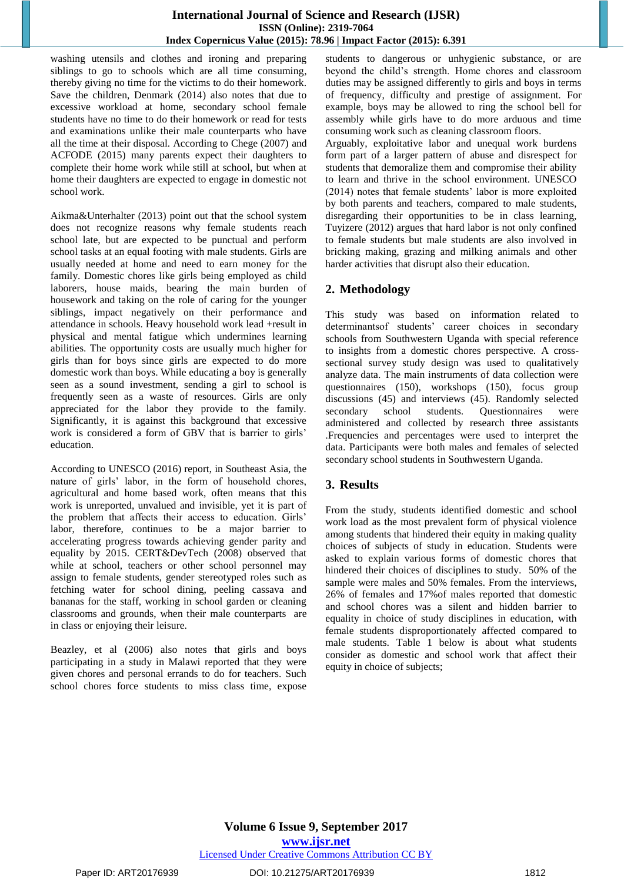## **International Journal of Science and Research (IJSR) ISSN (Online): 2319-7064 Index Copernicus Value (2015): 78.96 | Impact Factor (2015): 6.391**

washing utensils and clothes and ironing and preparing siblings to go to schools which are all time consuming, thereby giving no time for the victims to do their homework. Save the children, Denmark (2014) also notes that due to excessive workload at home, secondary school female students have no time to do their homework or read for tests and examinations unlike their male counterparts who have all the time at their disposal. According to Chege (2007) and ACFODE (2015) many parents expect their daughters to complete their home work while still at school, but when at home their daughters are expected to engage in domestic not school work.

Aikma&Unterhalter (2013) point out that the school system does not recognize reasons why female students reach school late, but are expected to be punctual and perform school tasks at an equal footing with male students. Girls are usually needed at home and need to earn money for the family. Domestic chores like girls being employed as child laborers, house maids, bearing the main burden of housework and taking on the role of caring for the younger siblings, impact negatively on their performance and attendance in schools. Heavy household work lead +result in physical and mental fatigue which undermines learning abilities. The opportunity costs are usually much higher for girls than for boys since girls are expected to do more domestic work than boys. While educating a boy is generally seen as a sound investment, sending a girl to school is frequently seen as a waste of resources. Girls are only appreciated for the labor they provide to the family. Significantly, it is against this background that excessive work is considered a form of GBV that is barrier to girls' education.

According to UNESCO (2016) report, in Southeast Asia, the nature of girls' labor, in the form of household chores, agricultural and home based work, often means that this work is unreported, unvalued and invisible, yet it is part of the problem that affects their access to education. Girls' labor, therefore, continues to be a major barrier to accelerating progress towards achieving gender parity and equality by 2015. CERT&DevTech (2008) observed that while at school, teachers or other school personnel may assign to female students, gender stereotyped roles such as fetching water for school dining, peeling cassava and bananas for the staff, working in school garden or cleaning classrooms and grounds, when their male counterparts are in class or enjoying their leisure.

Beazley, et al (2006) also notes that girls and boys participating in a study in Malawi reported that they were given chores and personal errands to do for teachers. Such school chores force students to miss class time, expose students to dangerous or unhygienic substance, or are beyond the child's strength. Home chores and classroom duties may be assigned differently to girls and boys in terms of frequency, difficulty and prestige of assignment. For example, boys may be allowed to ring the school bell for assembly while girls have to do more arduous and time consuming work such as cleaning classroom floors.

Arguably, exploitative labor and unequal work burdens form part of a larger pattern of abuse and disrespect for students that demoralize them and compromise their ability to learn and thrive in the school environment. UNESCO (2014) notes that female students' labor is more exploited by both parents and teachers, compared to male students, disregarding their opportunities to be in class learning, Tuyizere (2012) argues that hard labor is not only confined to female students but male students are also involved in bricking making, grazing and milking animals and other harder activities that disrupt also their education.

# **2. Methodology**

This study was based on information related to determinantsof students' career choices in secondary schools from Southwestern Uganda with special reference to insights from a domestic chores perspective. A crosssectional survey study design was used to qualitatively analyze data. The main instruments of data collection were questionnaires (150), workshops (150), focus group discussions (45) and interviews (45). Randomly selected secondary school students. Questionnaires were administered and collected by research three assistants .Frequencies and percentages were used to interpret the data. Participants were both males and females of selected secondary school students in Southwestern Uganda.

# **3. Results**

From the study, students identified domestic and school work load as the most prevalent form of physical violence among students that hindered their equity in making quality choices of subjects of study in education. Students were asked to explain various forms of domestic chores that hindered their choices of disciplines to study. 50% of the sample were males and 50% females. From the interviews, 26% of females and 17%of males reported that domestic and school chores was a silent and hidden barrier to equality in choice of study disciplines in education, with female students disproportionately affected compared to male students. Table 1 below is about what students consider as domestic and school work that affect their equity in choice of subjects;

Paper ID: ART20176939 DOI: 10.21275/ART20176939 1812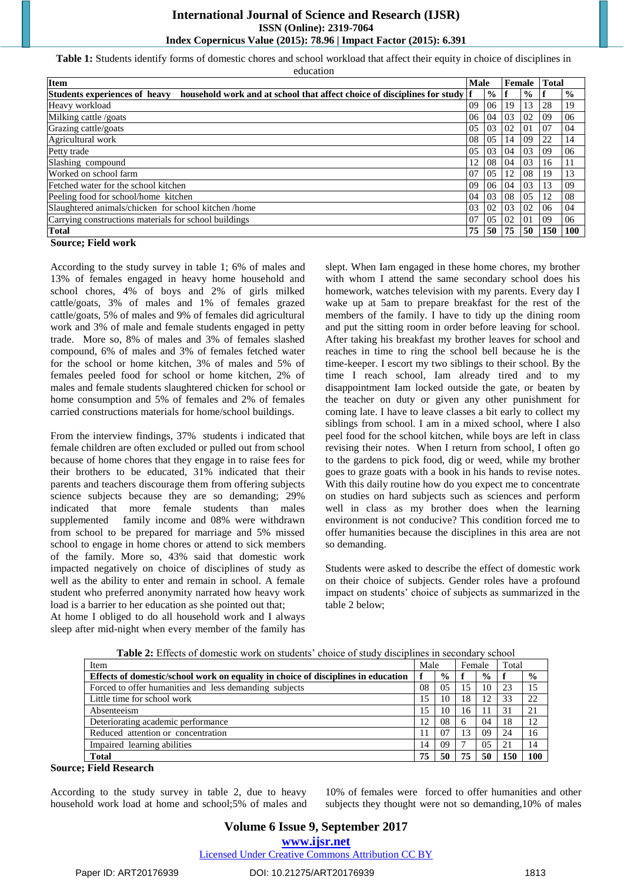**Table 1:** Students identify forms of domestic chores and school workload that affect their equity in choice of disciplines in education

| <b>Item</b>                                                                                                        |    | <b>Male</b>   |    | Female        |     | <b>Total</b>  |
|--------------------------------------------------------------------------------------------------------------------|----|---------------|----|---------------|-----|---------------|
| <b>Students experiences of heavy</b><br>household work and at school that affect choice of disciplines for study f |    | $\frac{0}{0}$ |    | $\frac{0}{0}$ |     | $\frac{0}{0}$ |
| Heavy workload                                                                                                     | 09 | 06            | 19 | 13            | 28  | 19            |
| Milking cattle /goats                                                                                              | 06 | 04            | 03 | 02            | -09 | 06            |
| Grazing cattle/goats                                                                                               | 05 | 03            | 02 | $\Omega$      | 07  | 04            |
| Agricultural work                                                                                                  | 08 | 05            | 14 | 09            | 22  | 14            |
| Petty trade                                                                                                        | 05 | 03            | 04 | 03            | 09  | 06            |
| Slashing compound                                                                                                  | 12 | 08            | 04 | 03            | 16  |               |
| Worked on school farm                                                                                              | 07 | 05            | 12 | 08            | 19  | 13            |
| Fetched water for the school kitchen                                                                               | 09 | -06           | 04 | 03            | 13  | 09            |
| Peeling food for school/home kitchen                                                                               | 04 | 03            | 08 | 0.5           | 12  | 08            |
| Slaughtered animals/chicken for school kitchen/home                                                                | 03 | 02            | 03 | 02            | 06  | 04            |
| Carrying constructions materials for school buildings                                                              | 07 | 05            | 02 | $_{01}$       | 09  | 06            |
| <b>Total</b>                                                                                                       | 75 | 50            | 75 | 50            | 150 | <b>100</b>    |
|                                                                                                                    |    |               |    |               |     |               |

#### **Source; Field work**

According to the study survey in table 1; 6% of males and 13% of females engaged in heavy home household and school chores, 4% of boys and 2% of girls milked cattle/goats, 3% of males and 1% of females grazed cattle/goats, 5% of males and 9% of females did agricultural work and 3% of male and female students engaged in petty trade. More so, 8% of males and 3% of females slashed compound, 6% of males and 3% of females fetched water for the school or home kitchen, 3% of males and 5% of females peeled food for school or home kitchen, 2% of males and female students slaughtered chicken for school or home consumption and 5% of females and 2% of females carried constructions materials for home/school buildings.

From the interview findings, 37% students i indicated that female children are often excluded or pulled out from school because of home chores that they engage in to raise fees for their brothers to be educated, 31% indicated that their parents and teachers discourage them from offering subjects science subjects because they are so demanding; 29% indicated that more female students than males supplemented family income and 08% were withdrawn from school to be prepared for marriage and 5% missed school to engage in home chores or attend to sick members of the family. More so, 43% said that domestic work impacted negatively on choice of disciplines of study as well as the ability to enter and remain in school. A female student who preferred anonymity narrated how heavy work load is a barrier to her education as she pointed out that;

At home I obliged to do all household work and I always sleep after mid-night when every member of the family has

slept. When Iam engaged in these home chores, my brother with whom I attend the same secondary school does his homework, watches television with my parents. Every day I wake up at 5am to prepare breakfast for the rest of the members of the family. I have to tidy up the dining room and put the sitting room in order before leaving for school. After taking his breakfast my brother leaves for school and reaches in time to ring the school bell because he is the time-keeper. I escort my two siblings to their school. By the time I reach school, Iam already tired and to my disappointment Iam locked outside the gate, or beaten by the teacher on duty or given any other punishment for coming late. I have to leave classes a bit early to collect my siblings from school. I am in a mixed school, where I also peel food for the school kitchen, while boys are left in class revising their notes. When I return from school, I often go to the gardens to pick food, dig or weed, while my brother goes to graze goats with a book in his hands to revise notes. With this daily routine how do you expect me to concentrate on studies on hard subjects such as sciences and perform well in class as my brother does when the learning environment is not conducive? This condition forced me to offer humanities because the disciplines in this area are not so demanding.

Students were asked to describe the effect of domestic work on their choice of subjects. Gender roles have a profound impact on students' choice of subjects as summarized in the table 2 below;

| <b>Table 2:</b> Effects of domestic work on students choice of study disciplines in secondary school |      |               |        |               |       |               |  |  |
|------------------------------------------------------------------------------------------------------|------|---------------|--------|---------------|-------|---------------|--|--|
| Item                                                                                                 | Male |               | Female |               | Total |               |  |  |
| Effects of domestic/school work on equality in choice of disciplines in education                    |      | $\frac{0}{0}$ |        | $\frac{0}{0}$ |       | $\frac{0}{0}$ |  |  |
| Forced to offer humanities and less demanding subjects                                               | 08   | 0.5           | 15     | 10            | 23    | 15            |  |  |
| Little time for school work                                                                          | 15   | 10            | 18     | 12            | 33    | 22            |  |  |
| Absenteeism                                                                                          | 15   | 10            | 16     | 11            | 31    | 21            |  |  |
| Deteriorating academic performance                                                                   | 12   | 08            | 6      | 04            | 18    | 12            |  |  |
| Reduced attention or concentration                                                                   |      | 07            | 13     | 09            | 24    | 16            |  |  |
| Impaired learning abilities                                                                          | 14   | 09            |        | 0.5           | 21    | 14            |  |  |
| <b>Total</b>                                                                                         | 75   | 50            | 75     | 50            | 150   | 100           |  |  |

**Table 2:** Effects of domestic work on students' choice of study disciplines in secondary school

**Source; Field Research** 

According to the study survey in table 2, due to heavy household work load at home and school;5% of males and

10% of females were forced to offer humanities and other subjects they thought were not so demanding,10% of males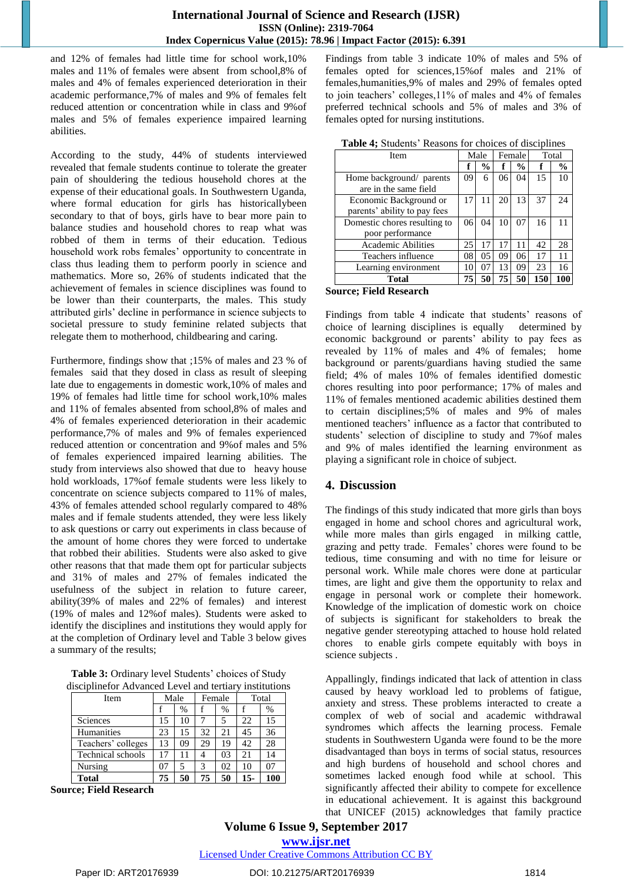and 12% of females had little time for school work,10% males and 11% of females were absent from school,8% of males and 4% of females experienced deterioration in their academic performance,7% of males and 9% of females felt reduced attention or concentration while in class and 9%of males and 5% of females experience impaired learning abilities.

According to the study, 44% of students interviewed revealed that female students continue to tolerate the greater pain of shouldering the tedious household chores at the expense of their educational goals. In Southwestern Uganda, where formal education for girls has historicallybeen secondary to that of boys, girls have to bear more pain to balance studies and household chores to reap what was robbed of them in terms of their education. Tedious household work robs females' opportunity to concentrate in class thus leading them to perform poorly in science and mathematics. More so, 26% of students indicated that the achievement of females in science disciplines was found to be lower than their counterparts, the males. This study attributed girls' decline in performance in science subjects to societal pressure to study feminine related subjects that relegate them to motherhood, childbearing and caring.

Furthermore, findings show that ;15% of males and 23 % of females said that they dosed in class as result of sleeping late due to engagements in domestic work,10% of males and 19% of females had little time for school work,10% males and 11% of females absented from school,8% of males and 4% of females experienced deterioration in their academic performance,7% of males and 9% of females experienced reduced attention or concentration and 9%of males and 5% of females experienced impaired learning abilities. The study from interviews also showed that due to heavy house hold workloads, 17%of female students were less likely to concentrate on science subjects compared to 11% of males, 43% of females attended school regularly compared to 48% males and if female students attended, they were less likely to ask questions or carry out experiments in class because of the amount of home chores they were forced to undertake that robbed their abilities. Students were also asked to give other reasons that that made them opt for particular subjects and 31% of males and 27% of females indicated the usefulness of the subject in relation to future career, ability(39% of males and 22% of females) and interest (19% of males and 12%of males). Students were asked to identify the disciplines and institutions they would apply for at the completion of Ordinary level and Table 3 below gives a summary of the results;

**Table 3:** Ordinary level Students' choices of Study disciplinefor Advanced Level and tertiary institutions

| <b>Item</b>              | Male |      | Female |      | Total |      |
|--------------------------|------|------|--------|------|-------|------|
|                          |      | $\%$ |        | $\%$ |       | $\%$ |
| Sciences                 | 15   | 10   |        | 5    | 22.   | 15   |
| Humanities               | 23   | 15   | 32     | 21   | 45    | 36   |
| Teachers' colleges       | 13   | 09   | 29     | 19   | 42    | 28   |
| <b>Technical schools</b> | 17   |      |        | 03   | 21    | 14   |
| Nursing                  | 07   | 5    | 3      | 02   | 10    |      |
| <b>Total</b>             | 75   | 50   | 75     | 50   | $15-$ | 100  |

**Source; Field Research**

Findings from table 3 indicate 10% of males and 5% of females opted for sciences,15%of males and 21% of females,humanities,9% of males and 29% of females opted to join teachers' colleges,11% of males and 4% of females preferred technical schools and 5% of males and 3% of females opted for nursing institutions.

| <b>Item</b>                  | Male |               | Female |               |     | Total         |
|------------------------------|------|---------------|--------|---------------|-----|---------------|
|                              |      | $\frac{0}{0}$ | f      | $\frac{0}{0}$ |     | $\frac{0}{0}$ |
| Home background/ parents     | 09   | 6             | 06     | 04            | 15  | 10            |
| are in the same field        |      |               |        |               |     |               |
| Economic Background or       | 17   | 11            | 20     | 13            | 37  | 24            |
| parents' ability to pay fees |      |               |        |               |     |               |
| Domestic chores resulting to | 06   | 04            | 10     | 07            | 16  | 11            |
| poor performance             |      |               |        |               |     |               |
| <b>Academic Abilities</b>    | 25   | 17            | 17     | 11            | 42  | 28            |
| Teachers influence           | 08   | 05            | 09     | 06            | 17  |               |
| Learning environment         | 10   | 07            | 13     | 09            | 23  | 16            |
| Total                        | 75   | 50            | 75     | 50            | 150 |               |

**Table 4;** Students' Reasons for choices of disciplines

## **Source; Field Research**

Findings from table 4 indicate that students' reasons of choice of learning disciplines is equally determined by economic background or parents' ability to pay fees as revealed by 11% of males and 4% of females; home background or parents/guardians having studied the same field; 4% of males 10% of females identified domestic chores resulting into poor performance; 17% of males and 11% of females mentioned academic abilities destined them to certain disciplines;5% of males and 9% of males mentioned teachers' influence as a factor that contributed to students' selection of discipline to study and 7%of males and 9% of males identified the learning environment as playing a significant role in choice of subject.

# **4. Discussion**

The findings of this study indicated that more girls than boys engaged in home and school chores and agricultural work, while more males than girls engaged in milking cattle, grazing and petty trade. Females' chores were found to be tedious, time consuming and with no time for leisure or personal work. While male chores were done at particular times, are light and give them the opportunity to relax and engage in personal work or complete their homework. Knowledge of the implication of domestic work on choice of subjects is significant for stakeholders to break the negative gender stereotyping attached to house hold related chores to enable girls compete equitably with boys in science subjects .

Appallingly, findings indicated that lack of attention in class caused by heavy workload led to problems of fatigue, anxiety and stress. These problems interacted to create a complex of web of social and academic withdrawal syndromes which affects the learning process. Female students in Southwestern Uganda were found to be the more disadvantaged than boys in terms of social status, resources and high burdens of household and school chores and sometimes lacked enough food while at school. This significantly affected their ability to compete for excellence in educational achievement. It is against this background that UNICEF (2015) acknowledges that family practice

**Volume 6 Issue 9, September 2017 <www.ijsr.net>**

Licensed Under [Creative Commons Attribution CC BY](http://creativecommons.org/licenses/by/4.0/)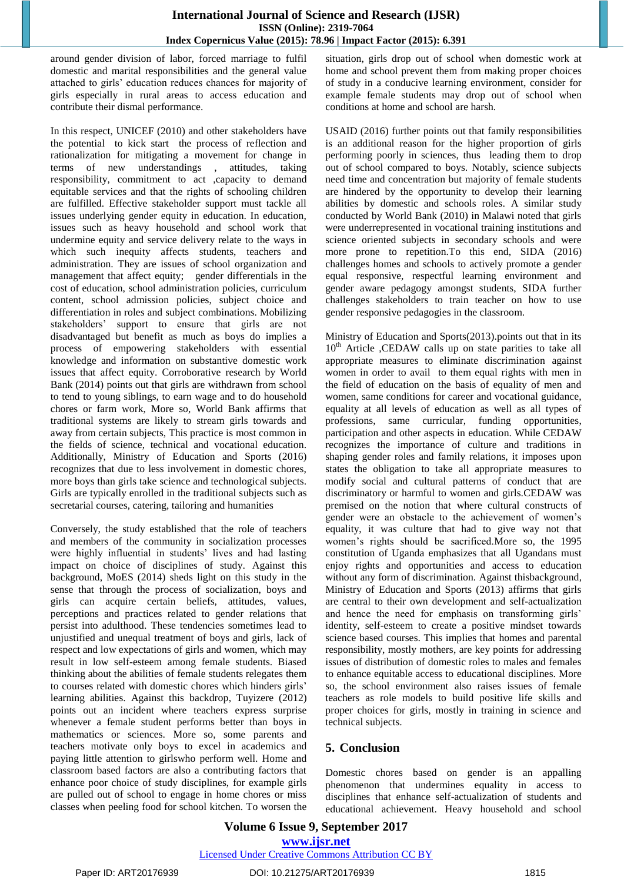around gender division of labor, forced marriage to fulfil domestic and marital responsibilities and the general value attached to girls' education reduces chances for majority of girls especially in rural areas to access education and contribute their dismal performance.

In this respect, UNICEF (2010) and other stakeholders have the potential to kick start the process of reflection and rationalization for mitigating a movement for change in terms of new understandings , attitudes, taking responsibility, commitment to act ,capacity to demand equitable services and that the rights of schooling children are fulfilled. Effective stakeholder support must tackle all issues underlying gender equity in education. In education, issues such as heavy household and school work that undermine equity and service delivery relate to the ways in which such inequity affects students, teachers and administration. They are issues of school organization and management that affect equity; gender differentials in the cost of education, school administration policies, curriculum content, school admission policies, subject choice and differentiation in roles and subject combinations. Mobilizing stakeholders' support to ensure that girls are not disadvantaged but benefit as much as boys do implies a process of empowering stakeholders with essential knowledge and information on substantive domestic work issues that affect equity. Corroborative research by World Bank (2014) points out that girls are withdrawn from school to tend to young siblings, to earn wage and to do household chores or farm work, More so, World Bank affirms that traditional systems are likely to stream girls towards and away from certain subjects, This practice is most common in the fields of science, technical and vocational education. Additionally, Ministry of Education and Sports (2016) recognizes that due to less involvement in domestic chores, more boys than girls take science and technological subjects. Girls are typically enrolled in the traditional subjects such as secretarial courses, catering, tailoring and humanities

Conversely, the study established that the role of teachers and members of the community in socialization processes were highly influential in students' lives and had lasting impact on choice of disciplines of study. Against this background, MoES (2014) sheds light on this study in the sense that through the process of socialization, boys and girls can acquire certain beliefs, attitudes, values, perceptions and practices related to gender relations that persist into adulthood. These tendencies sometimes lead to unjustified and unequal treatment of boys and girls, lack of respect and low expectations of girls and women, which may result in low self-esteem among female students. Biased thinking about the abilities of female students relegates them to courses related with domestic chores which hinders girls' learning abilities. Against this backdrop, Tuyizere (2012) points out an incident where teachers express surprise whenever a female student performs better than boys in mathematics or sciences. More so, some parents and teachers motivate only boys to excel in academics and paying little attention to girlswho perform well. Home and classroom based factors are also a contributing factors that enhance poor choice of study disciplines, for example girls are pulled out of school to engage in home chores or miss classes when peeling food for school kitchen. To worsen the situation, girls drop out of school when domestic work at home and school prevent them from making proper choices of study in a conducive learning environment, consider for example female students may drop out of school when conditions at home and school are harsh.

USAID (2016) further points out that family responsibilities is an additional reason for the higher proportion of girls performing poorly in sciences, thus leading them to drop out of school compared to boys. Notably, science subjects need time and concentration but majority of female students are hindered by the opportunity to develop their learning abilities by domestic and schools roles. A similar study conducted by World Bank (2010) in Malawi noted that girls were underrepresented in vocational training institutions and science oriented subjects in secondary schools and were more prone to repetition. To this end, SIDA (2016) challenges homes and schools to actively promote a gender equal responsive, respectful learning environment and gender aware pedagogy amongst students, SIDA further challenges stakeholders to train teacher on how to use gender responsive pedagogies in the classroom.

Ministry of Education and Sports(2013).points out that in its  $10<sup>th</sup>$  Article , CEDAW calls up on state parities to take all appropriate measures to eliminate discrimination against women in order to avail to them equal rights with men in the field of education on the basis of equality of men and women, same conditions for career and vocational guidance, equality at all levels of education as well as all types of professions, same curricular, funding opportunities, participation and other aspects in education. While CEDAW recognizes the importance of culture and traditions in shaping gender roles and family relations, it imposes upon states the obligation to take all appropriate measures to modify social and cultural patterns of conduct that are discriminatory or harmful to women and girls.CEDAW was premised on the notion that where cultural constructs of gender were an obstacle to the achievement of women's equality, it was culture that had to give way not that women's rights should be sacrificed.More so, the 1995 constitution of Uganda emphasizes that all Ugandans must enjoy rights and opportunities and access to education without any form of discrimination. Against thisbackground, Ministry of Education and Sports (2013) affirms that girls are central to their own development and self-actualization and hence the need for emphasis on transforming girls' identity, self-esteem to create a positive mindset towards science based courses. This implies that homes and parental responsibility, mostly mothers, are key points for addressing issues of distribution of domestic roles to males and females to enhance equitable access to educational disciplines. More so, the school environment also raises issues of female teachers as role models to build positive life skills and proper choices for girls, mostly in training in science and technical subjects.

# **5. Conclusion**

Domestic chores based on gender is an appalling phenomenon that undermines equality in access to disciplines that enhance self-actualization of students and educational achievement. Heavy household and school

# **Volume 6 Issue 9, September 2017 <www.ijsr.net>** Licensed Under [Creative Commons Attribution CC BY](http://creativecommons.org/licenses/by/4.0/)